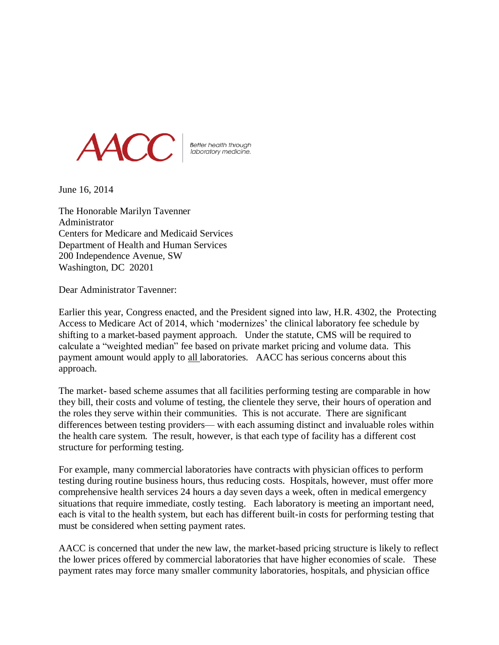

Better health through<br>laboratory medicine.

June 16, 2014

The Honorable Marilyn Tavenner Administrator Centers for Medicare and Medicaid Services Department of Health and Human Services 200 Independence Avenue, SW Washington, DC 20201

Dear Administrator Tavenner:

Earlier this year, Congress enacted, and the President signed into law, H.R. 4302, the Protecting Access to Medicare Act of 2014, which 'modernizes' the clinical laboratory fee schedule by shifting to a market-based payment approach. Under the statute, CMS will be required to calculate a "weighted median" fee based on private market pricing and volume data. This payment amount would apply to all laboratories. AACC has serious concerns about this approach.

The market- based scheme assumes that all facilities performing testing are comparable in how they bill, their costs and volume of testing, the clientele they serve, their hours of operation and the roles they serve within their communities. This is not accurate. There are significant differences between testing providers— with each assuming distinct and invaluable roles within the health care system. The result, however, is that each type of facility has a different cost structure for performing testing.

For example, many commercial laboratories have contracts with physician offices to perform testing during routine business hours, thus reducing costs. Hospitals, however, must offer more comprehensive health services 24 hours a day seven days a week, often in medical emergency situations that require immediate, costly testing. Each laboratory is meeting an important need, each is vital to the health system, but each has different built-in costs for performing testing that must be considered when setting payment rates.

AACC is concerned that under the new law, the market-based pricing structure is likely to reflect the lower prices offered by commercial laboratories that have higher economies of scale. These payment rates may force many smaller community laboratories, hospitals, and physician office